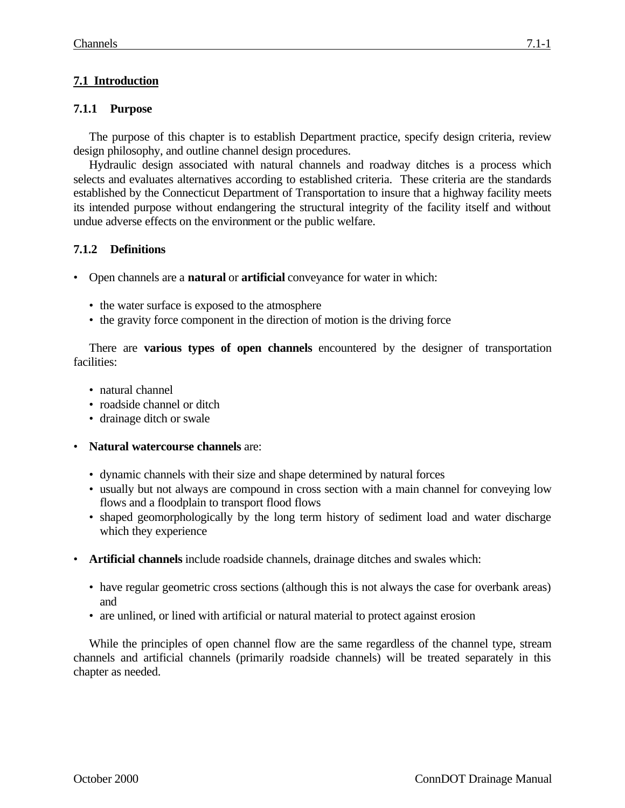## **7.1 Introduction**

## **7.1.1 Purpose**

The purpose of this chapter is to establish Department practice, specify design criteria, review design philosophy, and outline channel design procedures.

Hydraulic design associated with natural channels and roadway ditches is a process which selects and evaluates alternatives according to established criteria. These criteria are the standards established by the Connecticut Department of Transportation to insure that a highway facility meets its intended purpose without endangering the structural integrity of the facility itself and without undue adverse effects on the environment or the public welfare.

## **7.1.2 Definitions**

- Open channels are a **natural** or **artificial** conveyance for water in which:
	- the water surface is exposed to the atmosphere
	- the gravity force component in the direction of motion is the driving force

There are **various types of open channels** encountered by the designer of transportation facilities:

- natural channel
- roadside channel or ditch
- drainage ditch or swale
- **Natural watercourse channels** are:
	- dynamic channels with their size and shape determined by natural forces
	- usually but not always are compound in cross section with a main channel for conveying low flows and a floodplain to transport flood flows
	- shaped geomorphologically by the long term history of sediment load and water discharge which they experience
- **Artificial channels** include roadside channels, drainage ditches and swales which:
	- have regular geometric cross sections (although this is not always the case for overbank areas) and
	- are unlined, or lined with artificial or natural material to protect against erosion

While the principles of open channel flow are the same regardless of the channel type, stream channels and artificial channels (primarily roadside channels) will be treated separately in this chapter as needed.